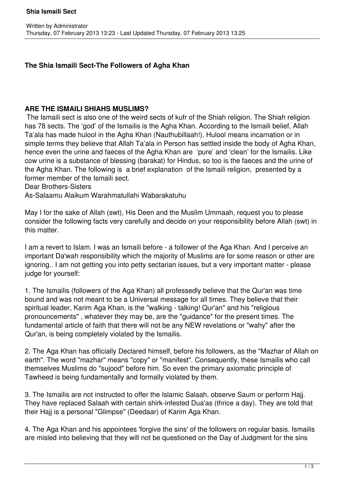## **The Shia Ismaili Sect-The Followers of Agha Khan**

## **ARE THE ISMAILI SHIAHS MUSLIMS?**

 The Ismaili sect is also one of the weird sects of kufr of the Shiah religion. The Shiah religion has 78 sects. The 'god' of the Ismailis is the Agha Khan. According to the Ismaili belief, Allah Ta'ala has made hulool in the Agha Khan (Nauthubillaah!). Hulool means incarnation or in simple terms they believe that Allah Ta'ala in Person has settled inside the body of Agha Khan, hence even the urine and faeces of the Agha Khan are 'pure' and 'clean' for the Ismailis. Like cow urine is a substance of blessing (barakat) for Hindus, so too is the faeces and the urine of the Agha Khan. The following is a brief explanation of the Ismaili religion, presented by a former member of the Ismaili sect.

Dear Brothers-Sisters

As-Salaamu Alaikum Warahmatullahi Wabarakatuhu

May I for the sake of Allah (swt), His Deen and the Muslim Ummaah, request you to please consider the following facts very carefully and decide on your responsibility before Allah (swt) in this matter.

I am a revert to Islam. I was an Ismaili before - a follower of the Aga Khan. And I perceive an important Da'wah responsibility which the majority of Muslims are for some reason or other are ignoring.. I am not getting you into petty sectarian issues, but a very important matter - please judge for yourself:

1. The Ismailis (followers of the Aga Khan) all professedly believe that the Qur'an was time bound and was not meant to be a Universal message for all times. They believe that their spiritual leader, Karim Aga Khan, is the "walking - talking! Qur'an" and his "religious pronouncements" , whatever they may be, are the "guidance" for the present times. The fundamental article of faith that there will not be any NEW revelations or "wahy" after the Qur'an, is being completely violated by the Ismailis.

2. The Aga Khan has officially Declared himself, before his followers, as the "Mazhar of Allah on earth". The word "mazhar" means "copy" or "manifest". Consequently, these Ismailis who call themselves Muslims do "sujood" before him. So even the primary axiomatic principle of Tawheed is being fundamentally and formally violated by them.

3. The Ismailis are not instructed to offer the Islamic Salaah, observe Saum or perform Hajj. They have replaced Salaah with certain shirk-infested Dua'as (thrice a day). They are told that their Hajj is a personal "Glimpse" (Deedaar) of Karim Aga Khan.

4. The Aga Khan and his appointees 'forgive the sins' of the followers on regular basis. Ismailis are misled into believing that they will not be questioned on the Day of Judgment for the sins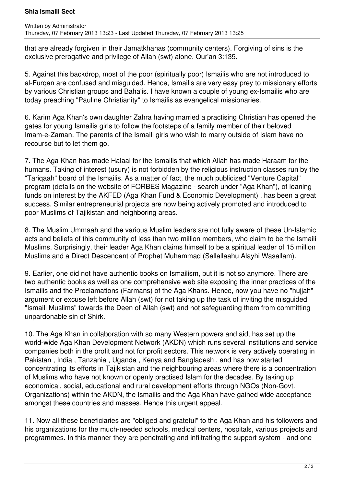## **Shia Ismaili Sect**

that are already forgiven in their Jamatkhanas (community centers). Forgiving of sins is the exclusive prerogative and privilege of Allah (swt) alone. Qur'an 3:135.

5. Against this backdrop, most of the poor (spiritually poor) Ismailis who are not introduced to al-Furqan are confused and misguided. Hence, Ismailis are very easy prey to missionary efforts by various Christian groups and Baha'is. I have known a couple of young ex-Ismailis who are today preaching "Pauline Christianity" to Ismailis as evangelical missionaries.

6. Karim Aga Khan's own daughter Zahra having married a practising Christian has opened the gates for young Ismailis girls to follow the footsteps of a family member of their beloved Imam-e-Zaman. The parents of the Ismaili girls who wish to marry outside of Islam have no recourse but to let them go.

7. The Aga Khan has made Halaal for the Ismailis that which Allah has made Haraam for the humans. Taking of interest (usury) is not forbidden by the religious instruction classes run by the "Tariqaah" board of the Ismailis. As a matter of fact, the much publicized "Venture Capital" program (details on the website of FORBES Magazine - search under "Aga Khan"), of loaning funds on interest by the AKFED (Aga Khan Fund & Economic Development) , has been a great success. Similar entrepreneurial projects are now being actively promoted and introduced to poor Muslims of Tajikistan and neighboring areas.

8. The Muslim Ummaah and the various Muslim leaders are not fully aware of these Un-Islamic acts and beliefs of this community of less than two million members, who claim to be the Ismaili Muslims. Surprisingly, their leader Aga Khan claims himself to be a spiritual leader of 15 million Muslims and a Direct Descendant of Prophet Muhammad (Sallallaahu Alayhi Wasallam).

9. Earlier, one did not have authentic books on Ismailism, but it is not so anymore. There are two authentic books as well as one comprehensive web site exposing the inner practices of the Ismailis and the Proclamations (Farmans) of the Aga Khans. Hence, now you have no "hujjah" argument or excuse left before Allah (swt) for not taking up the task of inviting the misguided "Ismaili Muslims" towards the Deen of Allah (swt) and not safeguarding them from committing unpardonable sin of Shirk.

10. The Aga Khan in collaboration with so many Western powers and aid, has set up the world-wide Aga Khan Development Network (AKDN) which runs several institutions and service companies both in the profit and not for profit sectors. This network is very actively operating in Pakistan , India , Tanzania , Uganda , Kenya and Bangladesh , and has now started concentrating its efforts in Tajikistan and the neighbouring areas where there is a concentration of Muslims who have not known or openly practised Islam for the decades. By taking up economical, social, educational and rural development efforts through NGOs (Non-Govt. Organizations) within the AKDN, the Ismailis and the Aga Khan have gained wide acceptance amongst these countries and masses. Hence this urgent appeal.

11. Now all these beneficiaries are "obliged and grateful" to the Aga Khan and his followers and his organizations for the much-needed schools, medical centers, hospitals, various projects and programmes. In this manner they are penetrating and infiltrating the support system - and one